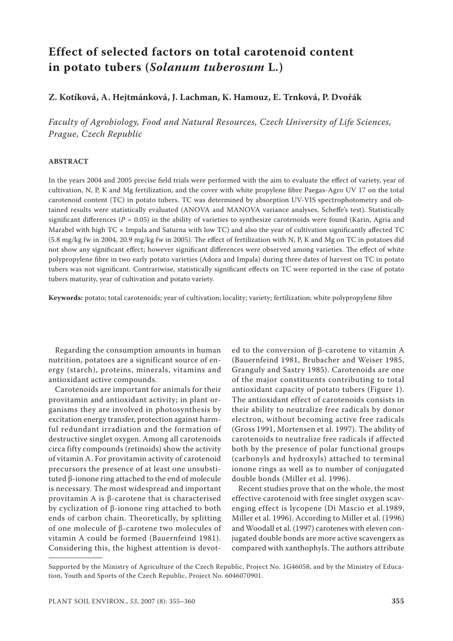# **Effect of selected factors on total carotenoid content in potato tubers (***Solanum tuberosum* **L***.***)**

## **Z. Kotíková, A. Hejtmánková, J. Lachman, K. Hamouz, E. Trnková, P. Dvořák**

*Faculty of Agrobiology, Food and Natural Resources, Czech University of Life Sciences, Prague, Czech Republic*

### **ABSTRACT**

In the years 2004 and 2005 precise field trials were performed with the aim to evaluate the effect of variety, year of cultivation, N, P, K and Mg fertilization, and the cover with white propylene fibre Paegas-Agro UV 17 on the total carotenoid content (TC) in potato tubers. TC was determined by absorption UV-VIS spectrophotometry and obtained results were statistically evaluated (ANOVA and MANOVA variance analyses, Scheffe's test). Statistically significant differences ( $P = 0.05$ ) in the ability of varieties to synthesize carotenoids were found (Karin, Agria and Marabel with high TC × Impala and Saturna with low TC) and also the year of cultivation significantly affected TC (5.8 mg/kg fw in 2004, 20.9 mg/kg fw in 2005). The effect of fertilization with N, P, K and Mg on TC in potatoes did not show any significant effect; however significant differences were observed among varieties. The effect of white polypropylene fibre in two early potato varieties (Adora and Impala) during three dates of harvest on TC in potato tubers was not significant. Contrariwise, statistically significant effects on TC were reported in the case of potato tubers maturity, year of cultivation and potato variety.

**Keywords:** potato; total carotenoids; year of cultivation; locality; variety; fertilization; white polypropylene fibre

Regarding the consumption amounts in human nutrition, potatoes are a significant source of energy (starch), proteins, minerals, vitamins and antioxidant active compounds.

Carotenoids are important for animals for their provitamin and antioxidant activity; in plant organisms they are involved in photosynthesis by excitation energy transfer, protection against harmful redundant irradiation and the formation of destructive singlet oxygen. Among all carotenoids circa fifty compounds (retinoids) show the activity of vitamin A. For provitamin activity of carotenoid precursors the presence of at least one unsubstituted β-ionone ring attached to the end of molecule is necessary. The most widespread and important provitamin A is β-carotene that is characterised by cyclization of β-ionone ring attached to both ends of carbon chain. Theoretically, by splitting of one molecule of β-carotene two molecules of vitamin A could be formed (Bauernfeind 1981). Considering this, the highest attention is devot-

ed to the conversion of β-carotene to vitamin A (Bauernfeind 1981, Brubacher and Weiser 1985, Granguly and Sastry 1985). Carotenoids are one of the major constituents contributing to total antioxidant capacity of potato tubers (Figure 1). The antioxidant effect of carotenoids consists in their ability to neutralize free radicals by donor electron, without becoming active free radicals (Gross 1991, Mortensen et al. 1997). The ability of carotenoids to neutralize free radicals if affected both by the presence of polar functional groups (carbonyls and hydroxyls) attached to terminal ionone rings as well as to number of conjugated double bonds (Miller et al. 1996).

Recent studies prove that on the whole, the most effective carotenoid with free singlet oxygen scavenging effect is lycopene (Di Mascio et al.1989, Miller et al. 1996). According to Miller et al. (1996) and Woodall et al. (1997) carotenes with eleven conjugated double bonds are more active scavengers as compared with xanthophyls. The authors attribute

Supported by the Ministry of Agriculture of the Czech Republic, Project No. 1G46058, and by the Ministry of Education, Youth and Sports of the Czech Republic, Project No. 6046070901.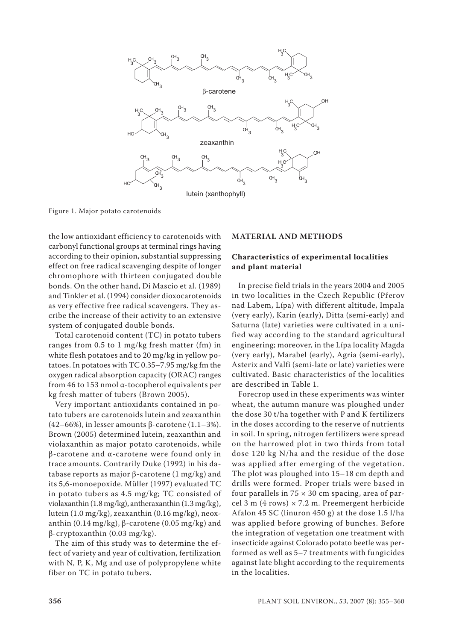

Figure 1. Major potato carotenoids

the low antioxidant efficiency to carotenoids with carbonyl functional groups at terminal rings having according to their opinion, substantial suppressing effect on free radical scavenging despite of longer chromophore with thirteen conjugated double bonds. On the other hand, Di Mascio et al. (1989) and Tinkler et al. (1994) consider dioxocarotenoids as very effective free radical scavengers. They ascribe the increase of their activity to an extensive system of conjugated double bonds.

Total carotenoid content (TC) in potato tubers ranges from 0.5 to 1 mg/kg fresh matter (fm) in white flesh potatoes and to 20 mg/kg in yellow potatoes. In potatoes with TC 0.35–7.95 mg/kg fm the oxygen radical absorption capacity (ORAC) ranges from 46 to 153 nmol α-tocopherol equivalents per kg fresh matter of tubers (Brown 2005).

Very important antioxidants contained in potato tubers are carotenoids lutein and zeaxanthin (42–66%), in lesser amounts β-carotene (1.1–3%). Brown (2005) determined lutein, zeaxanthin and violaxanthin as major potato carotenoids, while β-carotene and α-carotene were found only in trace amounts. Contrarily Duke (1992) in his database reports as major β-carotene (1 mg/kg) and its 5,6-monoepoxide. Müller (1997) evaluated TC in potato tubers as 4.5 mg/kg; TC consisted of violaxanthin (1.8 mg/kg), antheraxanthin (1.3 mg/kg), lutein (1.0 mg/kg), zeaxanthin (0.16 mg/kg), neoxanthin (0.14 mg/kg), β-carotene (0.05 mg/kg) and β-cryptoxanthin (0.03 mg/kg).

The aim of this study was to determine the effect of variety and year of cultivation, fertilization with N, P, K, Mg and use of polypropylene white fiber on TC in potato tubers.

#### **MATERIAL AND METHODS**

## **Characteristics of experimental localities and plant material**

In precise field trials in the years 2004 and 2005 in two localities in the Czech Republic (Přerov nad Labem, Lípa) with different altitude, Impala (very early), Karin (early), Ditta (semi-early) and Saturna (late) varieties were cultivated in a unified way according to the standard agricultural engineering; moreover, in the Lípa locality Magda (very early), Marabel (early), Agria (semi-early), Asterix and Valfi (semi-late or late) varieties were cultivated. Basic characteristics of the localities are described in Table 1.

Forecrop used in these experiments was winter wheat, the autumn manure was ploughed under the dose 30 t/ha together with P and K fertilizers in the doses according to the reserve of nutrients in soil. In spring, nitrogen fertilizers were spread on the harrowed plot in two thirds from total dose 120 kg N/ha and the residue of the dose was applied after emerging of the vegetation. The plot was ploughed into 15–18 cm depth and drills were formed. Proper trials were based in four parallels in  $75 \times 30$  cm spacing, area of parcel 3 m (4 rows) × 7.2 m. Preemergent herbicide Afalon 45 SC (linuron 450 g) at the dose 1.5 l/ha was applied before growing of bunches. Before the integration of vegetation one treatment with insecticide against Colorado potato beetle was performed as well as 5–7 treatments with fungicides against late blight according to the requirements in the localities.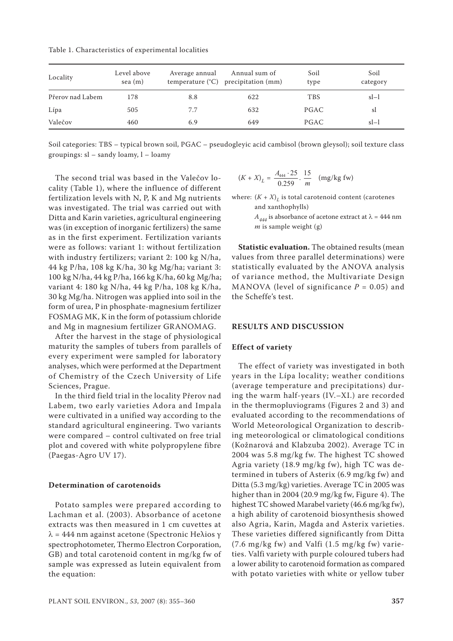| Table 1. Characteristics of experimental localities |
|-----------------------------------------------------|
|-----------------------------------------------------|

| Locality         | Level above<br>sea(m) | Average annual | Annual sum of<br>temperature $({}^{\circ}C)$ precipitation (mm) | Soil<br>type | Soil<br>category |
|------------------|-----------------------|----------------|-----------------------------------------------------------------|--------------|------------------|
| Přerov nad Labem | 178                   | 8.8            | 622                                                             | <b>TBS</b>   | $sl-1$           |
| Lípa             | 505                   | 7.7            | 632                                                             | PGAC         | sl               |
| Valečov          | 460                   | 6.9            | 649                                                             | PGAC         | $sl-1$           |

Soil categories: TBS – typical brown soil, PGAC – pseudogleyic acid cambisol (brown gleysol); soil texture class groupings: sl – sandy loamy, l – loamy

The second trial was based in the Valečov locality (Table 1), where the influence of different fertilization levels with N, P, K and Mg nutrients was investigated. The trial was carried out with Ditta and Karin varieties, agricultural engineering was (in exception of inorganic fertilizers) the same as in the first experiment. Fertilization variants were as follows: variant 1: without fertilization with industry fertilizers; variant 2: 100 kg N/ha, 44 kg P/ha, 108 kg K/ha, 30 kg Mg/ha; variant 3: 100 kg N/ha, 44 kg P/ha, 166 kg K/ha, 60 kg Mg/ha; variant 4: 180 kg N/ha, 44 kg P/ha, 108 kg K/ha, 30 kg Mg/ha. Nitrogen was applied into soil in the form of urea, P in phosphate-magnesium fertilizer FOSMAG MK, K in the form of potassium chloride and Mg in magnesium fertilizer GRANOMAG.

After the harvest in the stage of physiological maturity the samples of tubers from parallels of every experiment were sampled for laboratory analyses, which were performed at the Department of Chemistry of the Czech University of Life Sciences, Prague.

In the third field trial in the locality Přerov nad Labem, two early varieties Adora and Impala were cultivated in a unified way according to the standard agricultural engineering. Two variants were compared – control cultivated on free trial plot and covered with white polypropylene fibre (Paegas-Agro UV 17).

#### **Determination of carotenoids**

Potato samples were prepared according to Lachman et al. (2003). Absorbance of acetone extracts was then measured in 1 cm cuvettes at  $\lambda$  = 444 nm against acetone (Spectronic Heλios γ spectrophotometer, Thermo Electron Corporation, GB) and total carotenoid content in mg/kg fw of sample was expressed as lutein equivalent from the equation:

$$
(K + X)_{L} = \frac{A_{444} \cdot 25}{0.259} \cdot \frac{15}{m} \quad (\text{mg/kg fw})
$$

where:  $(K + X)_{L}$  is total carotenoid content (carotenes and xanthophylls)

> *A<sub>444</sub>* is absorbance of acetone extract at  $\lambda = 444$  nm  *m* is sample weight (g)

**Statistic evaluation.** The obtained results (mean values from three parallel determinations) were statistically evaluated by the ANOVA analysis of variance method, the Multivariate Design MANOVA (level of significance  $P = 0.05$ ) and the Scheffe's test.

#### **RESULTS AND DISCUSSION**

#### **Effect of variety**

The effect of variety was investigated in both years in the Lípa locality; weather conditions (average temperature and precipitations) during the warm half-years (IV.–XI.) are recorded in the thermopluviograms (Figures 2 and 3) and evaluated according to the recommendations of World Meteorological Organization to describing meteorological or climatological conditions (Kožnarová and Klabzuba 2002). Average TC in 2004 was 5.8 mg/kg fw. The highest TC showed Agria variety (18.9 mg/kg fw), high TC was determined in tubers of Asterix (6.9 mg/kg fw) and Ditta (5.3 mg/kg) varieties. Average TC in 2005 was higher than in 2004 (20.9 mg/kg fw, Figure 4). The highest TC showed Marabel variety (46.6 mg/kg fw), a high ability of carotenoid biosynthesis showed also Agria, Karin, Magda and Asterix varieties. These varieties differed significantly from Ditta (7.6 mg/kg fw) and Valfi (1.5 mg/kg fw) varieties. Valfi variety with purple coloured tubers had a lower ability to carotenoid formation as compared with potato varieties with white or yellow tuber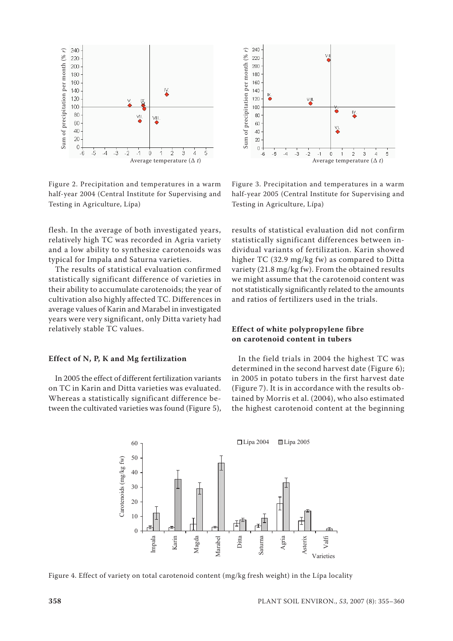

Figure 2. Precipitation and temperatures in a warm half-year 2004 (Central Institute for Supervising and Testing in Agriculture, Lípa)

flesh. In the average of both investigated years, relatively high TC was recorded in Agria variety and a low ability to synthesize carotenoids was typical for Impala and Saturna varieties.

The results of statistical evaluation confirmed statistically significant difference of varieties in their ability to accumulate carotenoids; the year of cultivation also highly affected TC. Differences in average values of Karin and Marabel in investigated years were very significant, only Ditta variety had relatively stable TC values.

#### **Effect of N, P, K and Mg fertilization**

In 2005 the effect of different fertilization variants on TC in Karin and Ditta varieties was evaluated. Whereas a statistically significant difference between the cultivated varieties was found (Figure 5),



Figure 3. Precipitation and temperatures in a warm half-year 2005 (Central Institute for Supervising and Testing in Agriculture, Lípa)

results of statistical evaluation did not confirm statistically significant differences between individual variants of fertilization. Karin showed higher TC (32.9 mg/kg fw) as compared to Ditta variety (21.8 mg/kg fw). From the obtained results we might assume that the carotenoid content was not statistically significantly related to the amounts and ratios of fertilizers used in the trials.

## **Effect of white polypropylene fibre on carotenoid content in tubers**

In the field trials in 2004 the highest TC was determined in the second harvest date (Figure 6); in 2005 in potato tubers in the first harvest date (Figure 7). It is in accordance with the results obtained by Morris et al. (2004), who also estimated the highest carotenoid content at the beginning

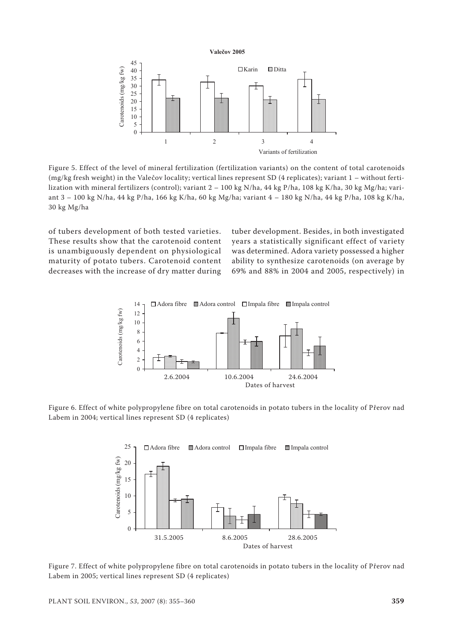

Figure 5. Effect of the level of mineral fertilization (fertilization variants) on the content of total carotenoids (mg/kg fresh weight) in the Valečov locality; vertical lines represent SD (4 replicates); variant 1 – without fertilization with mineral fertilizers (control); variant 2 – 100 kg N/ha, 44 kg P/ha, 108 kg K/ha, 30 kg Mg/ha; variant 3 – 100 kg N/ha, 44 kg P/ha, 166 kg K/ha, 60 kg Mg/ha; variant 4 – 180 kg N/ha, 44 kg P/ha, 108 kg K/ha, 30 kg Mg/ha

of tubers development of both tested varieties. These results show that the carotenoid content is unambiguously dependent on physiological maturity of potato tubers. Carotenoid content decreases with the increase of dry matter during tuber development. Besides, in both investigated years a statistically significant effect of variety was determined. Adora variety possessed a higher ability to synthesize carotenoids (on average by 69% and 88% in 2004 and 2005, respectively) in



Figure 6. Effect of white polypropylene fibre on total carotenoids in potato tubers in the locality of Přerov nad Labem in 2004; vertical lines represent SD (4 replicates)



Figure 7. Effect of white polypropylene fibre on total carotenoids in potato tubers in the locality of Přerov nad Labem in 2005; vertical lines represent SD (4 replicates)